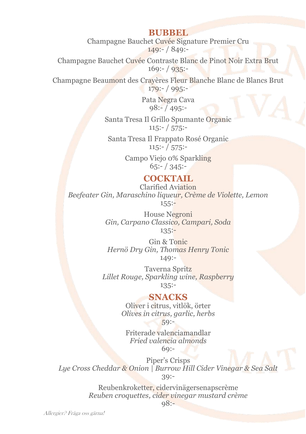#### **BUBBEL**

Champagne Bauchet Cuvée Signature Premier Cru 149:- / 849:-

Champagne Bauchet Cuvée Contraste Blanc de Pinot Noir Extra Brut  $169:- / 935:-$ 

Champagne Beaumont des Crayères Fleur Blanche Blanc de Blancs Brut 179:- / 995:-

> Pata Negra Cava 98:- / 495:-

Santa Tresa Il Grillo Spumante Organic  $115:- / 575:-$ 

Santa Tresa Il Frappato Rosé Organic  $115:- / 575:-$ 

> Campo Viejo 0% Sparkling 65:- / 345:-

### **COCKTAIL**

Clarified Aviation *Beefeater Gin, Maraschino liqueur, Crème de Violette, Lemon*  $155:-$ 

> House Negroni *Gin, Carpano Classico, Campari, Soda*  $135:-$

Gin & Tonic *Hernö Dry Gin, Thomas Henry Tonic* 149:-

Taverna Spritz *Lillet Rouge, Sparkling wine, Raspberry* 135:-

#### **SNACKS**

Oliver i citrus, vitlök, örter *Olives in citrus, garlic, herbs*

59:-

Friterade valenciamandlar *Fried valencia almonds* 69:-

Piper's Crisps *Lye Cross Cheddar & Onion | Burrow Hill Cider Vinegar & Sea Salt* 39:-

> Reubenkroketter, cidervinägersenapscrème *Reuben croquettes, cider vinegar mustard crème*

 $08:-$ 

Allergier? Fråga oss gärna!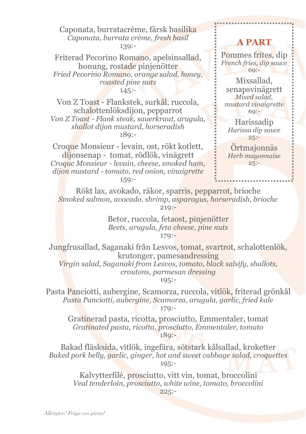Caponata, burratacrème, färsk basilika *Caponata, burrata crème, fresh basil* 139:-

Friterad Pecorino Romano, apelsinsallad, honung, rostade pinjenötter *Fried Pecorino Romano, orange salad, honey, roasted pine nuts*  $145: -$ 

Von Z Toast - Flankstek, surkål, ruccola, schalottenlöksdijon, pepparrot *Von Z Toast - Flank steak, sauerkraut, arugula, shallot dijon mustard, horseradish* 189:-

Croque Monsieur - levain, ost, rökt kotlett, dijonsenap - tomat, rödlök, vinägrett *Croque Monsieur - levain, cheese, smoked ham, dijon mustard - tomato, red onion, vinaigrette* 159:-

## **A PART**

Pommes frites, dip *French fries, dip sauce*  $69: -$ 

Mixsallad, senapsvinägrett *Mixed salad, mustard vinaigrette* 69:-

Harissadip *Harissa dip sauce*  $25: -$ 

Örtmajonnäs *Herb mayonnaise*  $25:-$ 

Rökt lax, avokado, räkor, sparris, pepparrot, brioche *Smoked salmon, avocado, shrimp, asparagus, horseradish, brioche*  $210:-$ 

> Betor, ruccola, fetaost, pinjenötter *Beets, arugula, feta cheese, pine nuts* 179:-

Jungfrusallad, Saganaki från Lesvos, tomat, svartrot, schalottenlök, krutonger, pamesandressing

*Virgin salad, Saganaki from Lesvos, tomato, black salsify, shallots, croutons, parmesan dressing*

195:-

Pasta Panciotti, aubergine, Scamorza, ruccola, vitlök, friterad grönkål *Pasta Panciotti, aubergine, Scamorza, arugula, garlic, fried kale* 179:-

Gratinerad pasta, ricotta, prosciutto, Emmentaler, tomat *Gratinated pasta, ricotta, prosciutto, Emmentaler, tomato* 189:-

Bakad fläsksida, vitlök, ingefära, sötstark kålsallad, kroketter *Baked pork belly, garlic, ginger, hot and sweet cabbage salad, croquettes* 195:-

> Kalvytterfilé, prosciutto, vitt vin, tomat, broccolini *Veal tenderloin, prosciutto, white wine, tomato, broccolini*  $225: -$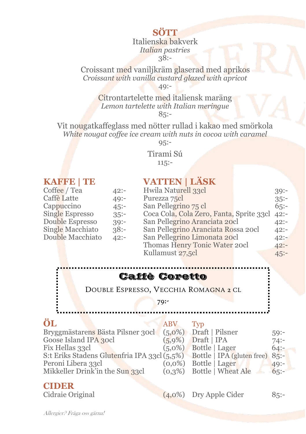# **SÖTT**

Italienska bakverk *Italian pastries*  $38:-$ 

Croissant med vaniljkräm glaserad med aprikos *Croissant with vanilla custard glazed with apricot*

49:-

Citrontartelette med italiensk maräng *Lemon tartelette with Italian meringue* 85:-

Vit nougatkaffeglass med nötter rullad i kakao med smörkola *White nougat coffee ice cream with nuts in cocoa with caramel*

95:-

Tirami Sú 115:-

#### **KAFFE | TE**

## **VATTEN | LÄSK**

| Coffee / Tea     | $42: -$ | Hwila Naturell 33cl                      | 39:     |
|------------------|---------|------------------------------------------|---------|
| Caffè Latte      | $49: -$ | Purezza 75cl                             | 35:     |
| Cappuccino       | $45: -$ | San Pellegrino 75 cl                     | 65:     |
| Single Espresso  | $35 -$  | Coca Cola, Cola Zero, Fanta, Sprite 33cl | $42: -$ |
| Double Espresso  | $39: -$ | San Pellegrino Aranciata 20cl            | $42: -$ |
| Single Macchiato | $38:-$  | San Pellegrino Aranciata Rossa 20cl      | $42: -$ |
| Double Macchiato | $42: -$ | San Pellegrino Limonata 20cl             | $42: -$ |
|                  |         | Thomas Henry Tonic Water 20cl            | $42: -$ |
|                  |         | Kullamust 27,5cl                         | 45:     |

Caffè Coretto

DOUBLE ESPRESSO, VECCHIA ROMAGNA 2 CL

79:-

## **ÖL** ABV Type

|                       | Bryggmästarens Bästa Pilsner 30cl                                            | $(5,0%)$ Draft   Pilsner |                              | 59:     |
|-----------------------|------------------------------------------------------------------------------|--------------------------|------------------------------|---------|
| Goose Island IPA 30cl |                                                                              | $(5.9\%)$ Draft   IPA    |                              | 74:     |
| Fix Hellas 33cl       |                                                                              | $(5.0\%)$ Bottle   Lager |                              | 64:     |
|                       | S:t Eriks Stadens Glutenfria IPA 33cl (5,5%) Bottle   IPA (gluten free) 85:- |                          |                              |         |
| Peroni Libera 33cl    |                                                                              | $(0,0\%)$ Bottle   Lager |                              | $49: -$ |
|                       | Mikkeller Drink'in the Sun 33cl                                              |                          | $(0,3\%)$ Bottle   Wheat Ale | 65:     |
|                       |                                                                              |                          |                              |         |

**CIDER**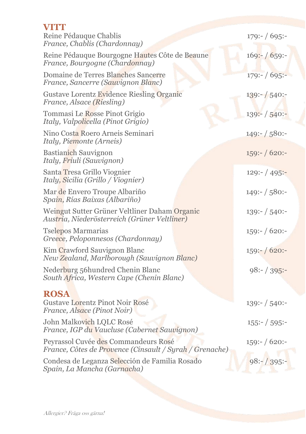| <b>VITT</b><br>Reine Pédauque Chablis<br>France, Chablis (Chardonnay)                           | $179:- / 695:-$   |
|-------------------------------------------------------------------------------------------------|-------------------|
| Reine Pédauque Bourgogne Hautes Côte de Beaune<br>France, Bourgogne (Chardonnay)                | $169:- / 659:-$   |
| Domaine de Terres Blanches Sancerre<br>France, Sancerre (Sauvignon Blanc)                       | $179:- / 695:-$   |
| Gustave Lorentz Evidence Riesling Organic<br>France, Alsace (Riesling)                          | $139:- / 540:-$   |
| Tommasi Le Rosse Pinot Grigio<br>Italy, Valpolicella (Pinot Grigio)                             | $139:- / 540:-$   |
| Nino Costa Roero Arneis Seminari<br>Italy, Piemonte (Arneis)                                    | $149: - / 580: -$ |
| Bastianich Sauvignon<br>Italy, Friuli (Sauvignon)                                               | $159:- / 620:-$   |
| Santa Tresa Grillo Viognier<br>Italy, Sicilia (Grillo / Viognier)                               | $129: - / 495: -$ |
| Mar de Envero Troupe Albariño<br>Spain, Rías Baixas (Albariño)                                  | $149: - / 580: -$ |
| Weingut Sutter Grüner Veltliner Daham Organic<br>Austria, Niederösterreich (Grüner Veltliner)   | $139:- / 540:-$   |
| Tselepos Marmarias<br>Greece, Peloponnesos (Chardonnay)                                         | $159:- / 620:-$   |
| Kim Crawford Sauvignon Blanc<br>New Zealand, Marlborough (Sauvignon Blanc)                      | $159:- / 620:-$   |
| Nederburg 56hundred Chenin Blanc<br>South Africa, Western Cape (Chenin Blanc)                   | $98:- / 395:-$    |
|                                                                                                 |                   |
| <b>ROSA</b><br>Gustave Lorentz Pinot Noir Rosé<br>France, Alsace (Pinot Noir)                   | $139: - / 540: -$ |
| John Malkovich LQLC Rosé<br>France, IGP du Vaucluse (Cabernet Sauvignon)                        | $155:- / 595:-$   |
| Peyrassol Cuvée des Commandeurs Rosé<br>France, Côtes de Provence (Cinsault / Syrah / Grenache) | $159:- / 620:-$   |
| Condesa de Leganza Selección de Familia Rosado<br>Spain, La Mancha (Garnacha)                   | $98:- / 395:-$    |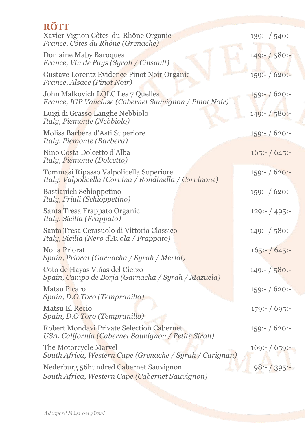| <b>RÖTT</b>                                                                                      |                   |
|--------------------------------------------------------------------------------------------------|-------------------|
| Xavier Vignon Côtes-du-Rhône Organic<br>France, Côtes du Rhône (Grenache)                        | $139:- / 540:-$   |
| <b>Domaine Maby Baroques</b><br>France, Vin de Pays (Syrah / Cinsault)                           | $149:- / 580:-$   |
| Gustave Lorentz Evidence Pinot Noir Organic<br>France, Alsace (Pinot Noir)                       | $159:- / 620:-$   |
| John Malkovich LQLC Les 7 Quelles<br>France, IGP Vaucluse (Cabernet Sauvignon / Pinot Noir)      | $159:- / 620:-$   |
| Luigi di Grasso Langhe Nebbiolo<br>Italy, Piemonte (Nebbiolo)                                    | $149: - / 580: -$ |
| Moliss Barbera d'Asti Superiore<br>Italy, Piemonte (Barbera)                                     | 159:- / 620:-     |
| Nino Costa Dolcetto d'Alba<br>Italy, Piemonte (Dolcetto)                                         | $165:- / 645:-$   |
| Tommasi Ripasso Valpolicella Superiore<br>Italy, Valpolicella (Corvina / Rondinella / Corvinone) | $159:- / 620:-$   |
| <b>Bastianich Schioppetino</b><br>Italy, Friuli (Schioppetino)                                   | 159:- / 620:-     |
| Santa Tresa Frappato Organic<br>Italy, Sicilia (Frappato)                                        | $129: - / 495: -$ |
| Santa Tresa Cerasuolo di Vittoria Classico<br>Italy, Sicilia (Nero d'Avola / Frappato)           | $149: - / 580: -$ |
| Nona Priorat<br>Spain, Priorat (Garnacha / Syrah / Merlot)                                       | $165:- / 645:-$   |
| Coto de Hayas Viñas del Cierzo<br>Spain, Campo de Borja (Garnacha / Syrah / Mazuela)             | $149:- / 580:-$   |
| Matsu Pícaro<br>Spain, D.O Toro (Tempranillo)                                                    | $159:- / 620:-$   |
| Matsu El Recio<br>Spain, D.O Toro (Tempranillo)                                                  | $179:- / 695:-$   |
| Robert Mondavi Private Selection Cabernet<br>USA, California (Cabernet Sauvignon / Petite Sirah) | $159:- / 620:-$   |
| The Motorcycle Marvel<br>South Africa, Western Cape (Grenache / Syrah / Carignan)                | $169:- / 659:-$   |
| Nederburg 56hundred Cabernet Sauvignon<br>South Africa, Western Cape (Cabernet Sauvignon)        | $98:- / 395:-$    |